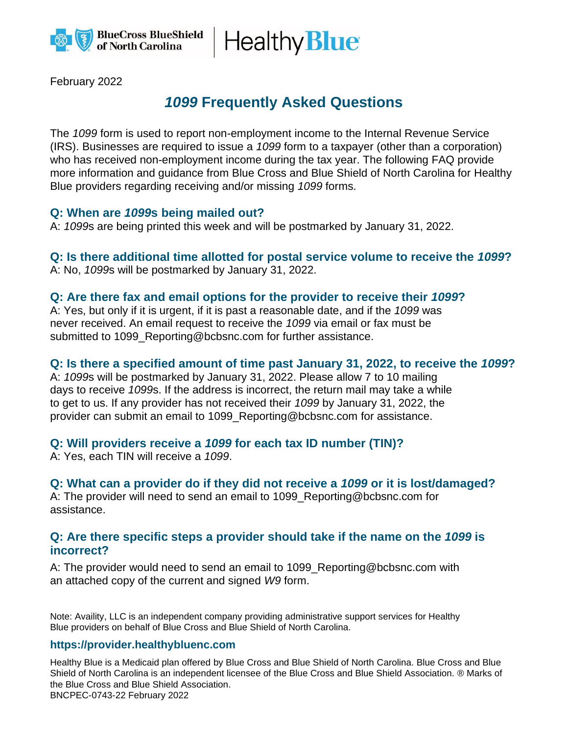

Healthy **Blue** 

February 2022

# *1099* **Frequently Asked Questions**

The *1099* form is used to report non-employment income to the Internal Revenue Service (IRS). Businesses are required to issue a *1099* form to a taxpayer (other than a corporation) who has received non-employment income during the tax year. The following FAQ provide more information and guidance from Blue Cross and Blue Shield of North Carolina for Healthy Blue providers regarding receiving and/or missing *1099* forms.

#### **Q: When are** *1099***s being mailed out?**

A: *1099*s are being printed this week and will be postmarked by January 31, 2022.

#### **Q: Is there additional time allotted for postal service volume to receive the** *1099***?** A: No, *1099*s will be postmarked by January 31, 2022.

## **Q: Are there fax and email options for the provider to receive their** *1099***?**

A: Yes, but only if it is urgent, if it is past a reasonable date, and if the *1099* was never received. An email request to receive the *1099* via email or fax must be submitted to 1099 Reporting@bcbsnc.com for further assistance.

### **Q: Is there a specified amount of time past January 31, 2022, to receive the** *1099***?**

A: *1099*s will be postmarked by January 31, 2022. Please allow 7 to 10 mailing days to receive *1099*s. If the address is incorrect, the return mail may take a while to get to us. If any provider has not received their *1099* by January 31, 2022, the provider can submit an email to 1099\_Reporting@bcbsnc.com for assistance.

# **Q: Will providers receive a** *1099* **for each tax ID number (TIN)?**

A: Yes, each TIN will receive a *1099*.

# **Q: What can a provider do if they did not receive a** *1099* **or it is lost/damaged?**

A: The provider will need to send an email to 1099\_Reporting@bcbsnc.com for assistance.

#### **Q: Are there specific steps a provider should take if the name on the** *1099* **is incorrect?**

A: The provider would need to send an email to 1099\_Reporting@bcbsnc.com with an attached copy of the current and signed *W9* form.

Note: Availity, LLC is an independent company providing administrative support services for Healthy Blue providers on behalf of Blue Cross and Blue Shield of North Carolina.

#### **https://provider.healthybluenc.com**

Healthy Blue is a Medicaid plan offered by Blue Cross and Blue Shield of North Carolina. Blue Cross and Blue Shield of North Carolina is an independent licensee of the Blue Cross and Blue Shield Association. ® Marks of the Blue Cross and Blue Shield Association. BNCPEC-0743-22 February 2022